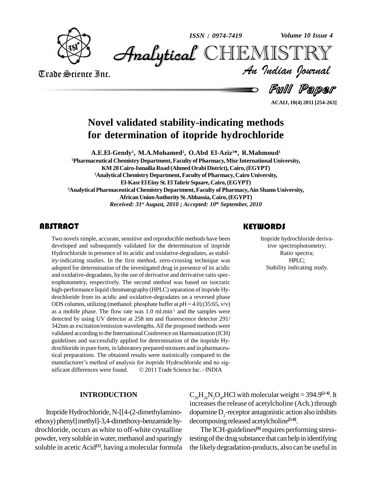

*Volume 10 Issue 4*



Trade Science Inc. Trade Science Inc.

Ful Paper *Volume 10 Issue 4*<br>IISTRY<br>*Indian Iournal* 

**ACAIJ, 10(4) 2011 [254-263]**

## **Novel validated stability-indicating methods for determination of itopride hydrochloride**

**A.E.El-Gendy 1 , M.A.Mohamed 2 , O.Abd El-Aziz <sup>3</sup>\*, R.Mahmoud 1 <sup>1</sup>Pharmaceutical Chemistry Department, Faculty ofPharmacy,Misr International University, KM 28Cairo-Ismailia Road (AhmedOrabiDistrict), Cairo,(EGYPT) <sup>2</sup>Analytical ChemistryDepartment,Faculty of Pharmacy, Cairo University, El-KasrElEiny St.ElTahrirSquare, Cairo,(EGYPT) <sup>3</sup>Analytical Pharmaceutical Chemistry Department, Faculty of Pharmacy,Ain Shams University, AfricanUnionAuthoritySt.Abbassia, Cairo,(EGYPT)** *Received: 31 st August, 2010 ; Accepted: 10 th September, 2010*

Two novels simple, accurdeveloped and subseque<br>Hydrochloride in presence Two novels simple, accurate, sensitive and reproducible methods have been developed and subsequently validated for the determination of itopride Hydrochloride in presence of its acidic and oxidative-degradates, as stability-indicating studies. In the first method, zero-crossing technique was adopted for determination of the investigated drug in presence of its acidic and oxidative-degradates, by the use of derivative and derivative ratio spectrophotometry, respectively. The second method was based on isocratic high-performance liquid chromatography (HPLC) separation of itopride Hydrochloride from its acidic and oxidative-degradates on a reversed phase ODS columns, utilizing (methanol: phosphate buffer at  $pH = 4.0$ )(35:65, v/v) as a mobile phase. The flow rate was  $1.0 \text{ ml.min}^{-1}$  and the samples were detected by using UV detector at 258 nm and fluorescence detector 291/ 342nm as excitation/emission wavelengths.All the proposed methods were validated according to the International Conference on Harmonization (ICH) guidelines and successfully applied for determination of the itopride Hy drochloride in pure form, in laboratory prepared mixtures and in pharmaceutical preparations. The obtained results were statistically compared to the drochloride in pure form, in laboratory prepared mixtures and in pharmaceutical preparations. The obtained results were statistically compared to the manufacturer's method of analysis for itopride Hydrochloride and no sigtical preparations. The obtained results were statistically compared to the<br>manufacturer's method of analysis for itopride Hydrochloride and no sig-<br>nificant differences were found. © 2011 Trade Science Inc. - INDIA

#### **KEYWORDS**

Itopride hydrochloric<br>tive spectrophoto:<br>Ratio spectra Itopride hydrochloride derivative spectrophotometry; Ratio spectra; HPLC; Stability indicating study.

#### **INTRODUCTION**

Itopride Hydrochloride, N-[[4-(2-dimethylaminoethoxy) phenyl] methyl]-3,4-dimethoxy-benzamide hydrochloride, occurs as white to off-white crystalline powder, very soluble in water, methanol and sparingly soluble in acetic Acid<sup>[1]</sup>, having a molecular formula the lik

 $C_{20}H_{26}N_2O_4$ , HCl with molecular weight = 394.9<sup>[2-4]</sup>. It increasesthe release of acetylcholine (Ach.) through dopamine D<sub>2</sub>-receptor antagonistic action also inhibits decomposing released acetylcholine **[5-8]**.

The ICH-guidelines **[9]** requires performing stresstesting of the drug substance that can help in identifying the likely degradation-products, also can be useful in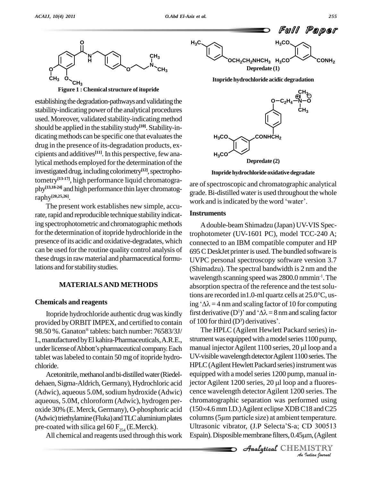

**Figure 1 : Chemicalstructure of itopride**

establishing the degradation-pathways and validating the stability-indicating power of the analytical procedures used. Moreover, validated stability-indicating method should be applied in the stabilitystudy **[10]**. Stability-in dicating methods can be specific one that evaluates the drug in the presence of its-degradation products, ex cipients and additives<sup>[11]</sup>. In this perspective, few analytical methods employed for the determination of the investigated drug, including colorimetry<sup>[12]</sup>, spectrophotometry **[13-17]**, high performance liquid chromatogra phy **[13,18-24]** and high performance thin layer chromatography **[20,25,26]**.

The present work establishes new simple, accurate, rapid and reproducible technique stability indicating spectrophotometric and chromatographic methods for the determination of itopride hydrochloride in the presence of its acidic and oxidative-degradates, which can be used for the routine quality control analysis of these drugs in raw material and pharmaceutical formulations and for stability studies.

#### **MATERIALSAND METHODS**

#### **Chemicals and reagents**

provided by ORBIT IMPEX, and certified to contain of 100 98.50 %. Ganaton tablets: batch number: 76583/3J/ L,manufactured byEl kahira-Pharmaceuticals,A.R.E., under license of Abbott's pharmaceutical company. Each tablet waslabeled to contain 50 mg of itopride hydro chloride.

Acetonitrile, methanol and bi-distilled water (Riedeldehaen, Sigma-Aldrich, Germany), Hydrochloric acid jector Agilent 1200 series, 20 µl loop and a fluores-(Adwic), aqueous 5.0M, sodium hydroxide (Adwic) aqueous, 5.0M, chloroform (Adwic), hydrogen per oxide 30% (E. Merck,Germany), O-phosphoric acid (Adwic) triethylamine (Fluka) and TLC aluminium plates



**Itopridehydrochloride acidic degradation**



**Itopridehydrochlorideoxidativedegradate**

are of spectroscopic and chromatographic analytical<br>grade. Bi-distilled water is used throughout the whole<br>work and is indicated by the word 'water'. grade.Bi-distilled wateris used throughout the whole

#### **Instruments**

Itopride hydrochloride authentic drug was kindly first derivative  $(D^1)$  and  $'\Delta\lambda = 8$  nm and scaling factor Adouble-beam Shimadzu (Japan) UV-VIS Spectrophotometer (UV-1601 PC), model TCC-240 A; connected to an IBM compatible computer and HP 695CDeskJet printeris used.The bundled software is UVPC personal spectroscopy software version 3.7 (Shimadzu). The spectral bandwidth is 2 nm and the wavelength scanning speed was 2800.0 nmmin -1 .The absorption spectra of the reference and the test soluwavelength scanning speed was 2800.0 nmmin<sup>-1</sup>. The<br>absorption spectra of the reference and the test solu-<br>tions are recorded in1.0-ml quartz cells at 25.0°C, usabsorption spectra of the reference and the test solutions are recorded in 1.0-ml quartz cells at  $25.0^{\circ}$ C, using  $^{\circ}$  $\Delta \lambda$  = 4 nm and scaling factor of 10 for computing tions are recorded in 1.0-ml quartz cells at 25.0°C, us-<br>ing ' $\Delta\lambda$  = 4 nm and scaling factor of 10 for computing<br>first derivative (D<sup>1</sup>)' and ' $\Delta\lambda$  = 8 nm and scaling factor ing ' $\Delta \lambda = 4$  nm and scaling factor of 10<br>first derivative (D<sup>1</sup>)' and ' $\Delta \lambda = 8$  nm ar<br>of 100 for third (D<sup>3</sup>) derivatives'.

*An*chromatographic separation was performed using *IS*<br>*IS* and C25<br>*P* amperature.<br>*ISTRY*<br>*ISTRY*<br>*Indian Iournal*  $(150\times4.6$  mm I.D.) Agilent eclipse XDB C18 and C25 pre-coated with silica gel 60  $F_{254}$  (E.Merck). Ultrasonic vibrator, (J.P Selecta'S-a; CD 300513<br>All chemical and reagents used through this work Espain). Disposible membrane filters, 0.45  $\mu$ m, (Agilent The HPLC (Agilent Hewlett Packard series) in strument was equipped with a model series 1100 pump, manual injector Agilent  $1100$  series,  $20 \mu$ l loop and a UV-visible wavelength detector Agilent 1100 series. The HPLC (Agilent Hewlett Packard series) instrument was<br>equipped with a model series 1200 pump, manual in-<br>jector Agilent 1200 series, 20 µl loop and a fluoresequipped with a model series 1200 pump, manual incence wavelength detectorAgilent 1200 series. The cence wavelength detector Agilent 1200 series. The<br>chromatographic separation was performed using<br>(150×4.6 mm I.D.) Agilent eclipse XDB C18 and C25 chromatographic separation was performed using<br>(150×4.6 mm I.D.) Agilent eclipse XDB C18 and C25<br>columns (5µm particle size) at ambient temperature. (150×4.6 mm I.D.) Agilent eclipse XDB C18 and C25<br>columns (5µm particle size) at ambient temperature.<br>Ultrasonic vibrator, (J.P Selecta'S-a; CD 300513 columns (5µm particle size) at ambient temperature.<br>Ultrasonic vibrator, (J.P Selecta'S-a; CD 300513<br>Espain). Disposible membrane filters, 0.45µm, (Agilent

**Analytical** CHEMISTRY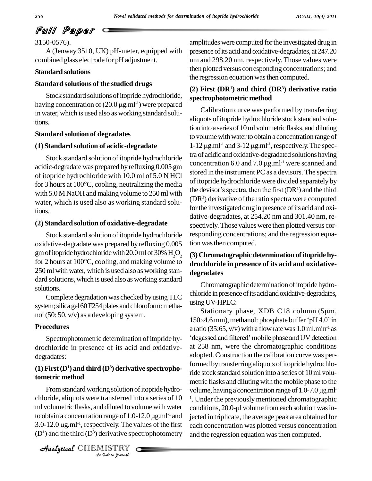3150-0576).

A (Jenway 3510, UK) pH-meter, equipped with combined glass electrode for pH adjustment.

#### **Standard solutions**

#### **Standard solutions of the studied drugs**

Stock standard solutions of itopride hydrochloride, **Standard solutions of the studied drugs** (2) Fin<br>
Stock standard solutions of itopride hydrochloride, spectro<br>
having concentration of  $(20.0 \,\mu g.m^{1-1})$  were prepared in water, which is used also as working standard solutions.

#### **Standard solution of degradates**

#### **(1) Standard solution of acidic-degradate**

Stock standard solution of itopride hydrochloride acidic-degradate was prepared by refluxing 0.005 gm of itopride hydrochloride with 10.0 ml of 5.0 N HCl for 3 hours at 100 $^{\circ}$ C, cooling, neutralizing the media<br>with 5.0 M NoOH and making volume to 250 ml with the devisor's spectra, then the first  $(DR<sup>1</sup>)$  and the third with 5.0 M NaOH and making volume to 250 ml with water, which is used also as working standard solutions.

#### **(2) Standard solution of oxidative-degradate**

Stock standard solution of itopride hydrochloride oxidative-degradate was prepared by refluxing 0.005 gm of itopride hydrochloride with 20.0 ml of 30%  $H_2O_2$  (3) oxidative-degradate was prepared by refluxing 0.005 tion wa<br>gm of itopride hydrochloride with 20.0 ml of 30%  $H_2O_2$  (3) Chi<br>for 2 hours at 100°C, cooling, and making volume to drochl 250 ml with water, which is used also as working standard solutions, which is used also as working standard solutions.

Complete degradation was checked byusingTLC system; silica gel 60 F254 plates and chloroform: methanol(50: 50, v/v) as a developing system.

#### **Procedures**

drochloride in presence of its acid and oxidative degradates:

#### **(1) First(D<sup>1</sup>) and third (D<sup>3</sup>) derivative spectrophotometric method**

ml volumetric flasks, and diluted to volume with water con *I* diluted to vo<br>
range of 1.0-<br> *L*ively. The variative spe<br> *ISTRY* From standard working solution of itopride hydrochloride, aliquots were transferred into a series of  $10<sup>-1</sup>$ . Under m volumetric flasks, and diluted to volume with water condition to obtain a concentration range of  $1.0-12.0 \mu g.m<sup>1</sup>$  and jected is ml volumetric flasks, and diluted to volume with water<br>to obtain a concentration range of 1.0-12.0  $\mu$ g.ml<sup>-1</sup> and jec<br>3.0-12.0  $\mu$ g.ml<sup>-1</sup>, respectively. The values of the first ead  $(D<sup>1</sup>)$  and the third  $(D<sup>3</sup>)$  derivative spectrophotometry

CHEMISTRY

amplitudes were computed forthe investigated drug in presence of its acid and oxidative-degradates, at 247.20 nm and 298.20 nm, respectively. Those values were then plotted versus corresponding concentrations; and the regression equation was then computed.

#### **(2) First (DR<sup>1</sup>) and third (DR<sup>3</sup>) derivative ratio spectrophotometric method**

Calibration curve was performed by transferring aliquots of itopride hydrochloride stock standard solution into a series of 10 ml volumetric flasks, and diluting to volume with water to obtain a concentration range of tion into a series of 10 ml volumetri<br>to volume with water to obtain a co<br> $1-12 \mu g.m<sup>1-1</sup>$  and  $3-12 \mu g.m<sup>1-1</sup>$ , res -1 ,respectively.The spectra of acidic and oxidative-degradated solutions having 1-12  $\mu$ g.ml<sup>-1</sup> and 3-12  $\mu$ g.ml<sup>-1</sup>, respectitra of acidic and oxidative-degradated software. concentration 6.0 and 7.0  $\mu$ g.ml<sup>-1</sup> were scanned and stored in the instrument PC as adevisors. The spectra of itopride hydrochloride were divided separately by stored in the instrument PC as a devisors. The spectra<br>of itopride hydrochloride were divided separately by<br>the devisor's spectra, then the first (DR<sup>1</sup>) and the third  $(DR<sup>3</sup>)$  derivative of the ratio spectra were computed for the investigated drug in presence of its acid and oxidative-degradates, at 254.20 nm and 301.40 nm, re spectively.Those values were then plotted versus corresponding concentrations; and the regression equation wasthen computed.

### **(3)Chromatographicdeterminationofitopridehy drochloride in presence of its acid and oxidative degradates**

Chromatographic determination of itopride hydrochloride in presence of its acid and oxidative-degradates,<br>using UV-HPLC:<br>Stationary phase, XDB C18 column (5µm, usingUV-HPLC:

Spectrophotometric determination of itopride hy- 'degassed and filtered' mobile phase and UV detection <sup>-1</sup> and jected in triplicate, the average peak area obtained for using UV-HPLC:<br>Stationary phase, XDB C18 column (5µm,<br>150×4.6mm),methanol: phosphate buffer 'pH4.0' in a ratio (35:65, v/v) with a flow rate was  $1.0$  ml.min<sup>-1</sup> as nm), methanol: phosphate buffer 'pH 4.0' in<br>:65, v/v) with a flow rate was 1.0 ml.min<sup>-1</sup> as<br>and filtered' mobile phase and UV detection at 258 nm, were the chromatographic conditions adopted. Construction the calibration curve was performed by transferring aliquots of itopride hydrochloride stock standard solution into a series of 10ml volu metric flasks and diluting with the mobile phase to the ride stock standard solution into a series of 10 ml volumetric flasks and diluting with the mobile phase to the volume, having a concentration range of 1.0-7.0 µg.ml<sup>1</sup>. Under the previously mentioned chromatographic condi <sup>1</sup>. Under the previously mentioned chromatographic each concentration was plotted versus concentration and the regression equation was then computed.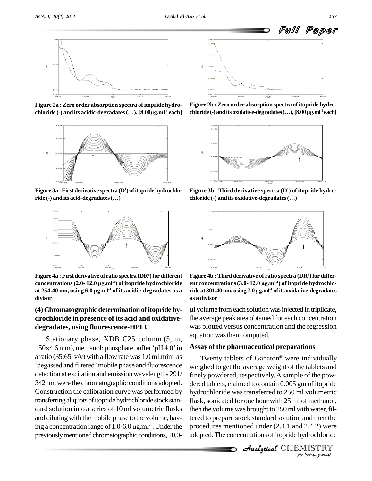

**Figure 2a :Zero order absorption spectra of itopride hydro chloride (-) and its acidic-degradates(Ö),[8.00µg.ml** chloride  $\left(-\right)$  and its acidic-degradates  $\left(\ldots\right)$ ,  $\left[8.00\mu\text{g.m}\right]$ <sup>1</sup> each]



**Figure 3a :Firstderivative spectra (D<sup>1</sup>) ofitopridehydrochlo- Figure 3a** : First derivative spectra (D<sup>1</sup>) of<br>**Figure 3a : First derivative spectra (D<sup>1</sup>) of :<br>ride (-) and its acid-degradates (...)** 



**Figure 4a :Firstderivative of ratio spectra (DR<sup>1</sup>)for different concentrations (2.0- 12.0 µg.ml**<br> **concentrations (2.0- 12.0 µg.ml<sup>-1</sup>) of itopride hydrochloride** ent concentrations (2.0- 12.0 µg.ml<sup>-1</sup>) of itopride hydrochloride ent co Figure 4a : First derivative of ratio s<br>concentrations (2.0- 12.0 µg.ml<sup>-1</sup>) o<br>at 254.40 nm, using 6.0 µg.ml<sup>-1</sup> of i **-1 of its acidic-degradates as a divisor**

#### **(4)Chromatographicdeterminationofitopridehy drochloride in presence of its acid and oxidative degradates, using fluorescence-HPLC**

Stationary phase, XDB C25 column  $(5 \mu m,$ degradates, using nuorescence-HPLC was provided as Stationary phase, XDB C25 column (5 $\mu$ m, equation 150×4.6 mm), methanol: phosphate buffer 'pH4.0' in Assay a ratio (35:65, v/v) with a flow rate was 1.0 ml.min<sup>-1</sup> as Tw a ratio (35:65,  $v/v$ ) with a flow rate was 1.0 ml.min<sup>-1</sup> as detection at excitation and emission wavelengths 291/ 342nm,were the chromatographic conditions adopted. Construction the calibration curve was performed by transferring aliquots of itopride hydrochloride stock standard solution into a series of 10 ml volumetric flasks and diluting with the mobile phase to the volume, havdard solution into a series of 10 ml volumetric<br>and diluting with the mobile phase to the volum<br>ing a concentration range of  $1.0-6.0 \,\mu g.ml^{-1}$ . Un <sup>-1</sup>. Under the proce previously mentioned chromatographic conditions, 20.0-



**Figure 2b :Zero order absorption spectra of itopride hydro chaloride(-)**<br>Figure 2b : Zero order absorption spectra of itopride hydre<br>chloride(-) and its oxidative-degradates(...), [8.00 µg.ml<sup>-1</sup> eacl chloride  $\left(-\right)$  and its oxidative-degradates  $\left(\ldots\right)$ ,  $\left[8.00 \,\mu\mathrm{g.m}\right]$ <sup>1</sup> each



**Figure 3b : Third derivative spectra (D<sup>1</sup>) of itopride hydro chaloride (-) chaloride (-) and its oxidative chaloride** (-) **and its** oxidative-degradates (...)



**ride at 301.40nm, using 7.0µg.ml -1 ofits oxidative-degradates Figure 4b :Third derivative of ratio spectra (DR<sup>3</sup>)for differ entity**<br> **ent** concentrations (3.0- 12.0 µg.ml<sup>-1</sup>) of itopride hydrochlo-<br> **ent** concentrations (3.0- 12.0 µg.ml<sup>-1</sup>) of itopride hydrochlo**as a divisor**

l volume fromeach solutionwasinjected in triplicate, the average peak area obtained for each concentration was plotted versus concentration and the regression equation was then computed.

#### **Assay of the pharmaceutical preparations** Æ

flask, sonicated for one hour with 25 ml of methanol, *I* methanior,<br>*Ind then the<br>2.4.2) were<br>drochloride<br><i>IISTRY* then the volume was brought to 250 ml with water, fil-Twenty tablets of Ganaton<sup>®</sup> were individually weighed to get the average weight of the tablets and finely powdered, respectively.Asample of the pow dered tablets, claimed to contain 0.005 gm of itopride hydrochloride was transferred to 250 ml volumetric tered to prepare stock standard solution and then the procedures mentioned under (2.4.1 and 2.4.2) were adopted. The concentrations of itopride hydrochloride

**Analytical** CHEMISTRY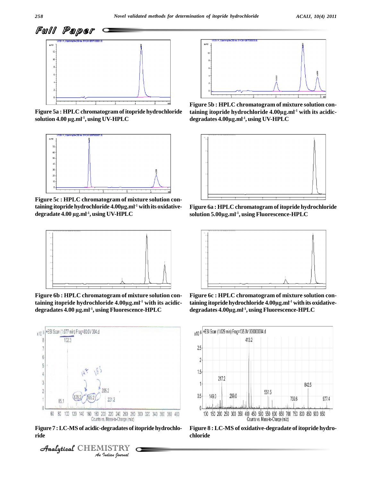

**Figure 5a : HPLC chromatogram ofitopride hydrochloride solution 4.00 µg.ml -1 , using UV-HPLC**



**Figure 5c : HPLC chromatogram of mixture solution containing itopride hydrochloride 4.00µg.ml -1 with its oxidative-** Figure 5c : HPLC chrom<mark>.</mark><br>taining itopride hydrochlo<br>degradate 4.00 µg.ml<sup>.1</sup>, usi **-1 , using UV-HPLC**



**Figure 6b : HPLC chromatogram of mixture solution conthe controller of the controller of the controller of the Figure 6b : HPLC chromatogram of mixture so<br>taining itopride hydrochloride 4.00µg.ml<sup>-1</sup> wit -1 with itsacidic-** Figure 6b : HPLC chromatogram of mixture solution con-<br>
taining itopride hydrochloride 4.00µg.ml<sup>-1</sup> with its acidic-<br>
degradates 4.00 µg.ml<sup>-1</sup>, using Fluorescence-HPLC do



**Figure 7 :LC-MS of acidic-degradates ofitopride hydrochlo ride**





**Figure 5b : HPLC chromatogram of mixture solution coninterval and the conduct of the conduct of the conduct of the conduct of the conduct of the conduct of the conduct of the conduct of the conduct of the conduct of the conduct of the conduct of the conduct of the conduct o** taining itopride hydrochloride 4.00 $\mu$ g.ml<sup>-1</sup> with its acidic-Figure 5b <mark>: HPLC chroma</mark><br>taining itopride hydrochl<br>degradates 4.00µg.ml<sup>-1</sup>, usi **-1 , using UV-HPLC**



**Figure 6a : HPLC chromatogram ofitopride hydrochloride solution 5.00µg.ml -1 , using Fluorescence-HPLC**



**Figure 6c : HPLC chromatogram of mixture solution coni**<br>Figure 6c : HPLC chromatogram of mixture<br>taining itopride hydrochloride 4.00µg.ml<sup>-1</sup> witl **-1 with its oxidative-** Figure 6c : HPLC chromatogram of mixture solution containing itopride hydrochloride 4.00µg.ml<sup>-1</sup> with its oxidative-<br>degradates 4.00µg.ml<sup>-1</sup>, using Fluorescence-HPLC



**Figure 8 : LC-MS of oxidative-degradate of itopride hydro chloride**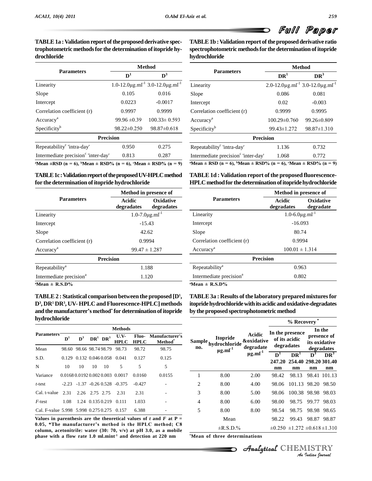#### TABLE 1a : Validation report of the proposed derivative spec**trophotometric methodsfor the determination ofitopride hy drochloride**

|                                                                | <b>Method</b>     |                                                                       |  |  |  |
|----------------------------------------------------------------|-------------------|-----------------------------------------------------------------------|--|--|--|
| <b>Parameters</b>                                              | $\mathbf{D}^1$    | $\mathbf{D}^3$                                                        |  |  |  |
| Linearity                                                      |                   | $1.0-12.0 \mu g$ .ml <sup>-1</sup> 3.0-12.0 $\mu g$ .ml <sup>-1</sup> |  |  |  |
| Slope                                                          | 0.105             | 0.016                                                                 |  |  |  |
| Intercept                                                      | 0.0223            | $-0.0017$                                                             |  |  |  |
| Correlation coefficient (r)                                    | 0.9997            | 0.9999                                                                |  |  |  |
| Accuracy <sup>a</sup>                                          | $99.96 \pm 0.39$  | $100.33 \pm 0.593$                                                    |  |  |  |
| Specificity <sup>b</sup>                                       | $98.22 \pm 0.250$ | $98.87 \pm 0.618$                                                     |  |  |  |
| <b>Precision</b>                                               |                   |                                                                       |  |  |  |
| Repeatability <sup>c</sup> 'intra-day'                         | 0.950             | 0.275                                                                 |  |  |  |
| Intermediate precision <sup>c</sup> 'inter-day'                | 0.813             | 0.287                                                                 |  |  |  |
| "Mean ±RSD (n = 6), "Mean ± RSD% (n = 6), "Mean ± RSD% (n = 9) |                   |                                                                       |  |  |  |

**TABLE1c:ValidationreportoftheproposedUV-HPLCmethod for the determination ofitopride hydrochloride**

|                                     |                                     | Method in presence of   |  |  |  |  |
|-------------------------------------|-------------------------------------|-------------------------|--|--|--|--|
| <b>Parameters</b>                   | Acidic<br>degradates                | Oxidative<br>degradates |  |  |  |  |
| Linearity                           | $1.0 - 7.0 \mu g$ .ml <sup>-1</sup> |                         |  |  |  |  |
| Intercept                           |                                     | $-15.43$                |  |  |  |  |
| Slope                               | 42.62                               |                         |  |  |  |  |
| Correlation coefficient (r)         | 0.9994                              |                         |  |  |  |  |
| Accuracy <sup>a</sup>               | $99.47 \pm 1.287$                   |                         |  |  |  |  |
|                                     | <b>Precision</b>                    |                         |  |  |  |  |
| Repeatability <sup>a</sup>          |                                     | 1.188                   |  |  |  |  |
| Intermediate precision <sup>a</sup> |                                     | 1.120                   |  |  |  |  |
| _ _ _ _                             |                                     |                         |  |  |  |  |

**<sup>a</sup>Mean <sup>±</sup> R.S.D%**

**TABLE2 : Statistical comparison between the proposed [D<sup>1</sup> D<sup>3</sup> , DR<sup>1</sup> DR<sup>3</sup> , UV- HPLC and Fluorescence-HPLC] methods** TABLE 2 : Statistical comparison betwee<br>D<sup>3</sup>, DR<sup>1</sup> DR<sup>3</sup>, UV- HPLC and Fluorescenc<br>and the manufacturer's method<sup>\*</sup> for detern and the manufacturer's method<sup>\*</sup> for determination of itopride **hydrochloride**

|                                            | <b>Methods</b> |                        |                     |    |                                        |             |                                             |  |  |
|--------------------------------------------|----------------|------------------------|---------------------|----|----------------------------------------|-------------|---------------------------------------------|--|--|
| <b>Parameters</b>                          | ${\bf D}^1$    |                        | $D^3$ $DR^1$ $DR^3$ |    | U.V-<br><b>HPLC</b>                    | <b>HPLC</b> | Fluo- Manufacturer's<br>Method <sup>*</sup> |  |  |
| Mean                                       |                |                        |                     |    | 98.60 98.66 98.74 98.79 98.73          | 98.72       | 98.75                                       |  |  |
| S.D.                                       |                |                        |                     |    | 0.129 0.132 0.046 0.058 0.041          | 0.127       | 0.125                                       |  |  |
| N                                          | 10             | 10                     | 10                  | 10 | 5                                      | 5           | 5                                           |  |  |
| Variance                                   |                |                        |                     |    | 0.0168 0.0192 0.002 0.003 0.0017       | 0.0160      | 0.0155                                      |  |  |
| t-test                                     |                |                        |                     |    | $-2.23$ $-1.37$ $-0.26$ 0.528 $-0.375$ | $-0.427$    |                                             |  |  |
| Cal. t-value $2.31$                        |                | 2.26 2.75 2.75         |                     |    | 2.31                                   | 2.31        |                                             |  |  |
| F-test                                     | 1.08           | 1.24 0.135 0.219 0.111 |                     |    |                                        | 1.033       |                                             |  |  |
| Cal. F-value 5.998 5.998 0.275 0.275 0.157 |                |                        |                     |    |                                        | 6.388       |                                             |  |  |

**Values** in parenthesis are the theoretical values of  $t$  and  $F$  at  $P =$ **0.05, \*The manufacturerís method isthe HPLC method; C8 column, acetonitrile: water (30: 70, v/v) at pH 3.0, as a mobile phase with a flow rate 1.0 ml.mint -1 and detection at 220 nm** **TABLE1b :Validation report oftheproposedderivative ratio spectrophotometric methodsfor thedeterminationofitopride hydrochloride**

|                                                         |                    | <b>Method</b>                                                       |  |  |  |  |
|---------------------------------------------------------|--------------------|---------------------------------------------------------------------|--|--|--|--|
| <b>Parameters</b>                                       | DR <sup>1</sup>    | DR <sup>3</sup>                                                     |  |  |  |  |
| Linearity                                               |                    | 2.0-12.0 $\mu$ g.ml <sup>-1</sup> 3.0-12.0 $\mu$ g.ml <sup>-1</sup> |  |  |  |  |
| Slope                                                   | 0.086              | 0.081                                                               |  |  |  |  |
| Intercept                                               | 0.02               | $-0.003$                                                            |  |  |  |  |
| Correlation coefficient (r)                             | 0.9999             | 0.9995                                                              |  |  |  |  |
| Accuracy <sup>a</sup>                                   | $100.29 \pm 0.760$ | 99.26±0.809                                                         |  |  |  |  |
| Specificity <sup>b</sup>                                | 99.43±1.272        | $98.87 \pm 1.310$                                                   |  |  |  |  |
| <b>Precision</b>                                        |                    |                                                                     |  |  |  |  |
| Repeatability <sup>c</sup> 'intra-day'                  | 1.136              | 0.732                                                               |  |  |  |  |
| Intermediate precision <sup>c</sup> 'inter-day'         | 1.068              | 0.772                                                               |  |  |  |  |
| $\mathbf{r}$ . non $\ell$ of $\mathbf{r}$ , none $\ell$ | $\sim$ $\sim$      | $\sim$<br>$\sim$ $\sim$ $\sim$ $\sim$ $\sim$                        |  |  |  |  |

 $a^a$ **Mean**  $\pm$  **RSD** (**n** = **6**),  $b^b$ **Mean**  $\pm$  **RSD**% (**n** = **6**),  $c^c$ **Mean**  $\pm$  **RSD**% (**n** = 9)

**TABLE1d : Validation report ofthe proposed fluorescence- HPLCmethodfor thedeterminationofitopridehydrochloride**

|                                                                  | Method in presence of               |                        |  |  |
|------------------------------------------------------------------|-------------------------------------|------------------------|--|--|
| <b>Parameters</b>                                                | Acidic<br>degradates                | Oxidative<br>degradate |  |  |
| Linearity                                                        | $1.0 - 6.0 \mu g$ .ml <sup>-1</sup> |                        |  |  |
| Intercept                                                        | $-16.093$                           |                        |  |  |
| Slope                                                            | 80.74                               |                        |  |  |
| Correlation coefficient (r)                                      | 0.9994                              |                        |  |  |
| Accuracy <sup>a</sup>                                            | $100.01 \pm 1.314$                  |                        |  |  |
|                                                                  | <b>Precision</b>                    |                        |  |  |
| Repeatability <sup>a</sup>                                       | 0.963                               |                        |  |  |
| Intermediate precision <sup>a</sup>                              | 0.802                               |                        |  |  |
| $\mathbf{r}$ $\mathbf{r}$ $\mathbf{r}$ $\mathbf{r}$ $\mathbf{r}$ |                                     |                        |  |  |

**<sup>a</sup>Mean <sup>±</sup> R.S.D%**

**TABLE3a : Results of the laboratory prepared mixturesfor , itopridehydrochloridewithitsacidicandoxidative-degradates** by the proposed spectrophotometric method

|                      | *<br>% Recovery                                              |                                              |              |                                                |                   |                                                      |  |
|----------------------|--------------------------------------------------------------|----------------------------------------------|--------------|------------------------------------------------|-------------------|------------------------------------------------------|--|
| <b>Sample</b><br>no. | <b>Itopride</b><br>hydrochloride<br>$\mu$ g.ml <sup>-1</sup> | Acidic<br><b>&amp;oxidative</b><br>degradate |              | In the presence<br>of its acidic<br>degradates |                   | In the<br>presence of<br>its oxidative<br>degradates |  |
|                      |                                                              | $\mu$ g.ml <sup>-1</sup>                     | $D^1$        | DR <sup>1</sup>                                | $\mathbf{D}^3$    | DR <sup>3</sup>                                      |  |
|                      |                                                              |                                              | 247.20<br>nm | 254.40 298.20 301.40<br>nm                     | nm                | nm                                                   |  |
| 1                    | 8.00                                                         | 2.00                                         | 98.42        | 98.13                                          |                   | 98.41 101.13                                         |  |
| $\overline{c}$       | 8.00                                                         | 4.00                                         | 98.06        | 101.13                                         | 98.20             | 98.50                                                |  |
| 3                    | 8.00                                                         | 5.00                                         | 98.06        | 100.38                                         | 98.98             | 98.03                                                |  |
| 4                    | 8.00                                                         | 6.00                                         | 98.00        | 98.75                                          | 99.77             | 98.03                                                |  |
| 5                    | 8.00                                                         | 8.00                                         | 98.54        | 98.75                                          | 98.98             | 98.65                                                |  |
|                      | Mean                                                         |                                              | 98.22        | 99.43                                          | 98.87             | 98.87                                                |  |
|                      | $\pm$ R.S.D.%                                                |                                              |              | $\pm 0.250 \pm 1.272 \pm 0.618 \pm 1.310$      |                   |                                                      |  |
|                      | *Mean of three determinations                                |                                              |              |                                                |                   |                                                      |  |
|                      |                                                              | <i>Analytical</i> CHEMISTRY                  |              |                                                |                   |                                                      |  |
|                      |                                                              |                                              |              |                                                | An Indian Nournal |                                                      |  |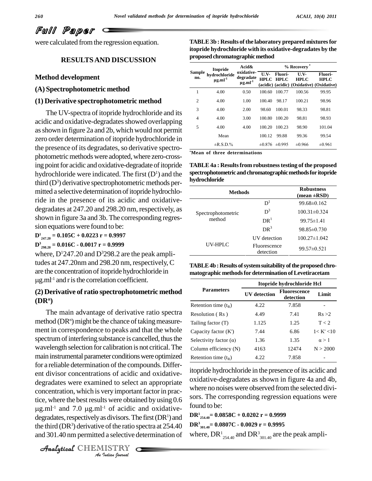were calculated from the regression equation.

#### **RESULTSAND DISCUSSION**

#### **Method development**

**(A) Spectrophotometric method**

#### **(1) Derivative spectrophotometric method**

The UV-spectra of itopride hydrochloride and its acidic and oxidative-degradates showed overlapping asshown in figure 2a and 2b, which would not permit zero order determination of itopride hydrochloride in the presence of its degradates, so derivative spectrophotometric methods were adopted, where zero-crossing point for acidic and oxidative-degradate of itopride hydrochloride were indicated. The first  $(D<sup>1</sup>)$  and the third  $(D^3)$  derivative spectrophotometric methods permitted a selective determination of itopride hydrochloride in the presence of its acidic and oxidative degradates at 247.20 and 298.20 nm, respectively, as shown in figure 3a and 3b.The corresponding regres sion equations were found to be:

## **D<sup>1</sup> 247.20 = 0.105C + 0.0223 r = 0.9997**

**D<sup>3</sup> 298.20 = 0.016C - 0.0017 r = 0.9999**

where,  $D<sup>1</sup>247.20$  and  $D<sup>3</sup>298.2$  are the peak amplitudes at 247.20nm and 298.20 nm, respectively,  $C_{\text{TARIE}}$ are the concentration of itopride hydrochloride in g.ml -1 and risthe correlation coefficient.

#### **(2) Derivative of ratio spectrophotometric method (DR<sup>n</sup>)**

oncentration, which is very important factor in prac-<br>ce, where the best results were obtained by using 0.6 sors<br>g.ml<sup>-1</sup> and 7.0  $\mu$ g.ml<sup>-1</sup> of acidic and oxidative-*I*<sup>1</sup> of acidic<br> *I*<sup>1</sup> of acidic<br> *I*<sub>2</sub> of the ratio s<br> *I*<sub>1</sub> as selective c<br> *I*<sub>15</sub> TRY The main advantage of derivative ratio spectra method ( $DR<sup>n</sup>$ ) might be the chance of taking measurement in correspondence to peaks and that the whole spectrum of interfering substance is cancelled, thus the wavelength selection for calibration is not critical. The main instrumental parameter conditions were optimized for a reliable determination of the compounds. Different divisor concentrations of acidic and oxidative degradates were examined to select an appropriate concentration, which is very important factor in practice, where the best results were obtained by using 0.6 degradates, respectively as divisors. The first  $(DR<sup>1</sup>)$  and the third  $(DR<sup>3</sup>)$  derivative of the ratio spectra at 254.40 and 301.40 nm permitted a selective determination of

CHEMISTRY

| TABLE 3b : Results of the laboratory prepared mixtures for  |  |
|-------------------------------------------------------------|--|
| itopride hydrochloride with its oxidative-degradates by the |  |
| proposed chromatographic method                             |  |

|                | <b>Itopride</b>                           | % Recovery<br>Acid&                                 |             |                             |                                                                 |                               |  |
|----------------|-------------------------------------------|-----------------------------------------------------|-------------|-----------------------------|-----------------------------------------------------------------|-------------------------------|--|
| Sample<br>no.  | hydrochloride<br>$\mu$ g.ml <sup>-1</sup> | oxidative-<br>degradate<br>$\mu$ g.ml <sup>-1</sup> | $U.V-$      | Fluori-<br><b>HPLC HPLC</b> | U.V<br><b>HPLC</b><br>(acidic) (acidic) (Oxidative) (Oxidative) | <b>Fluori-</b><br><b>HPLC</b> |  |
| 1              | 4.00                                      | 0.50                                                | 100.60      | 100.77                      | 100.56                                                          | 99.95                         |  |
| $\overline{c}$ | 4.00                                      | 1.00                                                | 100.40      | 98.17                       | 100.21                                                          | 98.96                         |  |
| 3              | 4.00                                      | 2.00                                                | 98.60       | 100.01                      | 98.33                                                           | 98.81                         |  |
| 4              | 4.00                                      | 3.00                                                | 100.80      | 100.20                      | 98.81                                                           | 98.93                         |  |
| 5              | 4.00                                      | 4.00                                                | 100.20      | 100.23                      | 98.90                                                           | 101.04                        |  |
|                | Mean                                      |                                                     | 100.12      | 99.88                       | 99.36                                                           | 99.54                         |  |
|                | $\pm$ R.S.D.%                             |                                                     | $\pm 0.876$ | $\pm 0.995$                 | $\pm 0.966$                                                     | $\pm 0.961$                   |  |

**\*Mean of three determinations**

**TABLE4a : Resultsfrom robustnesstesting of the proposed spectrophotometricandchromatographicmethodsfor itopride hydrochloride**

| ı vurocmoriue      |                                  |                    |
|--------------------|----------------------------------|--------------------|
| <b>Methods</b>     | <b>Robustness</b><br>(mean ±RSD) |                    |
|                    | D <sup>1</sup>                   | 99.68±0.162        |
| Spectrophotometric | $D^3$                            | $100.31 \pm 0.324$ |
| method             | DR <sup>1</sup>                  | $99.75 \pm 1.41$   |
|                    | DR <sup>3</sup>                  | $98.85 \pm 0.730$  |
|                    | <b>UV</b> detection              | $100.27 \pm 1.042$ |
| UV-HPLC            | Fluorescence<br>detection        | 99.57±0.521        |

**TABLE4b:Results ofsystemsuitability oftheproposedchro matographic methodsfordetermination ofLevetiracetam**

|                               | Itopride hydrochloride Hcl |                                  |              |  |  |  |
|-------------------------------|----------------------------|----------------------------------|--------------|--|--|--|
| <b>Parameters</b>             | <b>UV</b> detection        | <b>Fluorescence</b><br>detection | Limit        |  |  |  |
| Retention time $(t_p)$        | 4.22                       | 7.858                            |              |  |  |  |
| Resolution (Rs)               | 4.49                       | 7.41                             | Rs > 2       |  |  |  |
| Tailing factor (T)            | 1.125                      | 1.25                             | T < 2        |  |  |  |
| Capacity factor $(K')$        | 7.44                       | 6.86                             | 1 < K' < 10  |  |  |  |
| Selectivity factor $(\alpha)$ | 1.36                       | 1.35                             | $\alpha > 1$ |  |  |  |
| Column efficiency (N)         | 4163                       | 12474                            | N > 2000     |  |  |  |
| Retention time $(t_R)$        | 4.22                       | 7.858                            |              |  |  |  |

itopride hydrochloride in the presence of its acidic and oxidative-degradates as shown in figure 4a and 4b, where no noises were observed fromthe selected divi sors. The corresponding regression equations were found to be:

**DR<sup>1</sup> 254.40= 0.0858C + 0.0202 r = 0.9999**

**DR<sup>3</sup> 301.40= 0.0807C - 0.0029 r = 0.9995**

where,  $\text{DR}^{1}_{\ 254.40}$  and  $\text{DR}^{3}_{\ 301.40}$  are the peak ampli-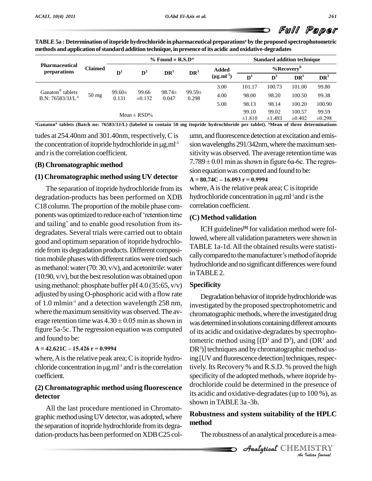| TABLE 5a : Determination of itopride hydrochloride in pharmaceutical preparationsª by the proposed spectrophotometric |  |
|-----------------------------------------------------------------------------------------------------------------------|--|
| methods and application of standard addition technique, in presence of its acidic and oxidative-degradates            |  |

|                                                              |                 |                                  | % Found $\pm$ R.S.D* |                      |                 |                      |                     |                 | <b>Standard addition technique</b> |                      |        |               |  |
|--------------------------------------------------------------|-----------------|----------------------------------|----------------------|----------------------|-----------------|----------------------|---------------------|-----------------|------------------------------------|----------------------|--------|---------------|--|
| <b>Pharmaceutical</b><br>preparations                        | <b>Claimed</b>  | $\mathbf{D}^3$<br>$\mathbf{D}^1$ |                      |                      |                 |                      |                     |                 | <b>Added</b>                       |                      |        | % $Recoveryb$ |  |
|                                                              |                 |                                  |                      | DR <sup>1</sup>      | DR <sup>3</sup> | $(\mu g.ml^{-1})$    | D <sup>1</sup>      | $\mathbf{D}^3$  | DR <sup>1</sup>                    | DR <sup>3</sup>      |        |               |  |
|                                                              |                 |                                  |                      |                      |                 | 3.00                 | 101.17              | 100.73          | 101.00                             | 99.80                |        |               |  |
| Ganaton <sup>®</sup> tablets<br>B.N: 76583/3J/L <sup>a</sup> | $50 \text{ mg}$ | 0.131                            | $99.60 \pm$          | $98.74 \pm$<br>0.047 |                 | 99.66<br>$\pm 0.132$ | $99.59\pm$<br>0.298 | 4.00            | 98.00                              | 98.20                | 100.50 | 99.38         |  |
|                                                              |                 |                                  |                      |                      |                 |                      |                     | 5.00            | 98.13                              | 98.14                | 100.20 | 100.90        |  |
|                                                              |                 |                                  | Mean $\pm$ RSD%      |                      |                 |                      | 99.10<br>±1.810     | 99.02<br>±1.493 | 100.57<br>$\pm 0.402$              | 99.59<br>$\pm 0.298$ |        |               |  |

"Ganaton® tablets (Batch no: 76583/3J/L) (labeled to contain 50 mg itopride hydrochloride per tablet). "Mean of three determinations

tudes at254.40nm and 301.40nm, respectively,C is the concentration of itopride hydrochloride in  $\mu$ g.ml<sup>-1</sup> and r is the correlation coefficient.

#### **(B) Chromatographic method**

## **(1) Chromatographic method using UV detector**  $A = 80.74C - 16.093r = 0.9994$

The separation of itopride hydrochloride from its degradation-products has been performed on XDB hydrochlo<br>C18 column. The proportion of the mobile phase com-correlation<br>ponents was optimized to reduce each of 'retention time (C) Metho C18 column. The proportion of the mobile phase components was optimized to reduce each of 'retention time<br>and tailing' and to enable good resolution from itsdegradates. Several trials were carried out to obtain good and optimum separation of itopride hydrochloride fromits degradation products. Different composition mobile phases with different ratios were tried such as methanol: water  $(70: 30, v/v)$ , and acetonitrile: water  $(10:90, v/v)$ , but the best resolution was obtained upon using methanol: phosphate buffer pH  $4.0$  (35:65, v/v) adjusted by using O-phosphoric acid with a flow rate of 1.0 mlmin<sup>-1</sup> and a detection wavelength 258 nm,  $\frac{1}{10}$ where the maximum sensitivity was observed. The avof 1.0 mlmin<sup>-1</sup> and a detection wavelength 258 nm, investigative investigative was observed. The average retention time was  $4.30 \pm 0.05$  min as shown in was determined was determined was determined was determined was de figure 5a-5c. The regression equation was computed and found to be:

#### **<sup>A</sup> <sup>=</sup> 42.621C <sup>ñ</sup> 15.426 <sup>r</sup> <sup>=</sup> 0.9994**

where, A is the relative peak area;  $C$  is itopride hydro- $A = 42.621C - 15.426 r = 0.9994$  DR<sup>3</sup>)] t<br>where, A is the relative peak area; C is itopride hydro- ing [UV<br>chloride concentration in  $\mu g.ml^{-1}$  and r is the correlation tively. coefficient.

#### **(2) Chromatographic method using fluorescence detector**

All the last procedure mentioned in Chromato graphic method using UV detector, was adopted, where the separation of itopride hydrochloride from its degradation-products has been performed on XDBC25 col-

<sup>-1</sup> sion wavelengths 291/342nm, where the maximum senumn, and fluorescence detection at excitation and emissitivitywas observed. The average retention time was sion wavelengths 291/342nm, where the maximum sensitivity was observed. The average retention time was<br>7.789  $\pm$  0.01 min as shown in figure 6a-6c. The regression equation was computed and found to be: **<sup>A</sup> <sup>=</sup> 80.74C <sup>ñ</sup> 16.093 <sup>r</sup> <sup>=</sup> 0.9994**

where, A is the relative peak area; C is itopride  $A = 80.74C - 16.093$  r = 0.9994<br>where, A is the relative peak area; C is itop<br>hydrochloride concentration in  $\mu g.ml^{-1}$  and hydrochloride concentration in  $\mu$ g.ml<sup>-1</sup>and r is the correlation coefficient.

#### **(C) Method validation**

ICH guidelines **[9]** for validation method were followed, where all validation parameters were shown in TABLE 1a-1d.All the obtained results were statisti cally compared to the manufacturer's method of itopride hydrochloride and no significant differences were found inTABLE2.

#### **Specificity**

 $\alpha$  bo. Degradation behavior of itopride hydrochloride was investigated by the proposed spectrophotometric and chromatographic methods, where the investigated drug was determined in solutions containing different amounts of its acidic and oxidative-degradates by spectrophotometric method using  $[(D<sup>1</sup> and D<sup>3</sup>)$ , and  $(DR<sup>1</sup>$  and  $DR<sup>3</sup>$ ] techniques and by chromatographic method using [UV and fluorescence detection] techniques, respectively. Its Recovery % and R.S.D. % proved the high specificity of the adopted methods, where itopride hydrochloride could be determined in the presence of its acidic and oxidative-degradates(up to 100 %), as shown inTABLE 3a -3b.

# *Inde HPLC<br>June is a meal<br>IISTRY* **Robustness and system suitability of the HPLC method**

The robustness of an analytical procedure is amea-

CHEMISTRY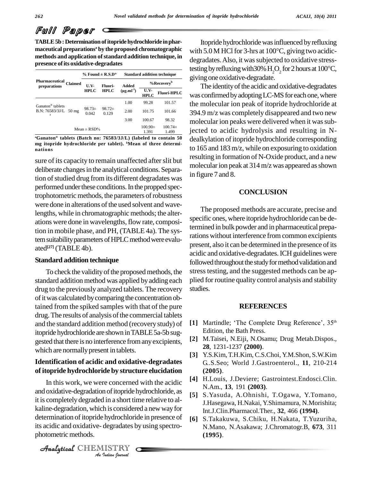**TABLE5b: Determinationofitopridehydrochloride inphar maceutical preparations <sup>a</sup> by the proposed chromatographic methods and application ofstandard addition technique, in**

| Pharmaceutical<br>preparations                             | <b>Claimed</b> | % Found $\pm$ R.S.D* |                        | <b>Standard addition technique</b> |                        |                      |
|------------------------------------------------------------|----------------|----------------------|------------------------|------------------------------------|------------------------|----------------------|
|                                                            |                | U.V<br><b>HPLC</b>   | Fluori-<br><b>HPLC</b> | Added<br>$(\mu g.ml^{-1})$         | %Recovery <sup>b</sup> |                      |
|                                                            |                |                      |                        |                                    | U.V-<br><b>HPLC</b>    | <b>Fluori-HPLC</b>   |
| Ganaton <sup>®</sup> tablets<br>B.N: 76583/3J/L 50 mg<br>a |                | $98.73+$<br>0.042    | $98.72 \pm$<br>0.129   | 1.00                               | 99.28                  | 101.57               |
|                                                            |                |                      |                        | 2.00                               | 101.75                 | 101.66               |
|                                                            |                |                      |                        | 3.00                               | 100.67                 | 98.32                |
| Mean $\pm$ RSD%                                            |                |                      |                        |                                    | $100.90\pm$<br>1.391   | $100.74\pm$<br>1.499 |

**<sup>a</sup>Ganaton tablets (Batch no: 76583/3J/L) (labeled to contain 50 mg itopride hydrochloride per tablet). <sup>b</sup>Mean of three determi nations**

sure of its capacity to remain unaffected after slit but deliberate changes in the analytical conditions. Separation of studied drug from its different degradates was performed under these conditions. In the propped spectrophotometric methods, the parameters of robustness were done in alterations of the used solvent and wavelengths, while in chromatographic methods; the alter ations were done in wavelengths, flow rate, composition in mobile phase, and PH, (TABLE 4a). The system suitability parameters of HPLC method were evaluated **[27]** (TABLE 4b).

#### **Standard addition technique**

To check the validity of the proposed methods, the standard addition method was applied by adding each drug to the previously analyzed tablets. The recovery of it was calculated by comparing the concentration obtained from the spiked samples with that of the pure drug. The results of analysis of the commercial tablets and the standard addition method (recovery study) of itopride hydrochloride are shown in TABLE 5a-5b suggested that there is no interference from any excipients, which are normally present in tablets.

#### **Identification of acidic and oxidative-degradates of itopride hydrochloride by structure elucidation**

it is completely degraded in a short time relative to al-*I* in a short in<br>*I* h is considered<br>*I* degradates b<br>*I* ISTRY kaline-degradation, which is considered a new way for In this work, we were concerned with the acidic and oxidative-degradation of itopride hydrochloride, as determination of itopride hydrochloride in presence of its acidic and oxidative- degradates by using spectro photometric methods.

Itopride hydrochloride was influenced by refluxing Itopride hydrochloride was influenced by refluxing<br>with 5.0 M HCl for 3-hrs at  $100^{\circ}$ C, giving two acidicdegradates. Also, it was subjected to oxidative stresswith 5.0 M HCl for 3-hrs at 100°C, giving two acidic-<br>degradates. Also, it was subjected to oxidative stress-<br>testing by refluxing with 30%  $H_2O_2$  for 2 hours at 100°C,<br>giving one oxidative-degradate.

The identity of the acidic and oxidative-degradates was confirmedbyadoptingLC-MSfor each one,where **Fluori-HPLC** the molecular ion peak of itopride hydrochloride at 394.9 m/z was completely disappeared and two new molecular ion peaks were delivered when it was subjected to acidic hydrolysis and resulting in N dealkylation of itopride hydrochloride corresponding to 165 and 183 m/z, while on exposuring to oxidation resulting in formation of N-Oxide product, and a new molecular ion peak at 314 m/z was appeared as shown in figure 7 and 8.

#### **CONCLUSION**

The proposed methods are accurate, precise and specific ones, where itopride hydrochloride can be determined in bulk powder and in pharmaceutical preparations without interference from common excipients present, also it can be determined in the presence of its acidic and oxidative-degradates.ICH guidelines were followed throughout the study for method validation and stress testing, and the suggested methods can be applied for routine quality control analysis and stability studies.

#### **REFERENCES**

- **FREFERENCES**<br> **[1]** Martindle; 'The Complete Drug Reference', 35<sup>th</sup> Edition, the Bath Press.
- **[2]** M.Taisei, N.Eiji, N.Osamu; Drug Metab.Dispos., **28**, 1231-1237 **(2000)**.
- **[3]** Y.S.Kim,T.H.Kim, C.S.Choi, Y.M.Shon, S.W.Kim G..S.Seo; World J.Gastroenterol., **11**, 210-214 **(2005)**.
- **[4]** H.Louis, J.Deviere; Gastrointest.Endosci.Clin. N.Am., **13**, 191 **(2003)**.
- **[5]** S.Yasuda, A.Ohnishi, T.Ogawa, Y.Tomano, J.Hasegawa, H.Nakai, Y.Shimamura, N.Morishita; Int.J.Clin.Pharmacol.Ther., **32**, 466 **(1994)**.
- **[6]** S.Takakuwa, S.Chiku, H.Nakata, T.Yuzuriha, N.Mano, N.Asakawa; J.Chromatogr.B, **673**, 311 **(1995)**.

CHEMISTRY